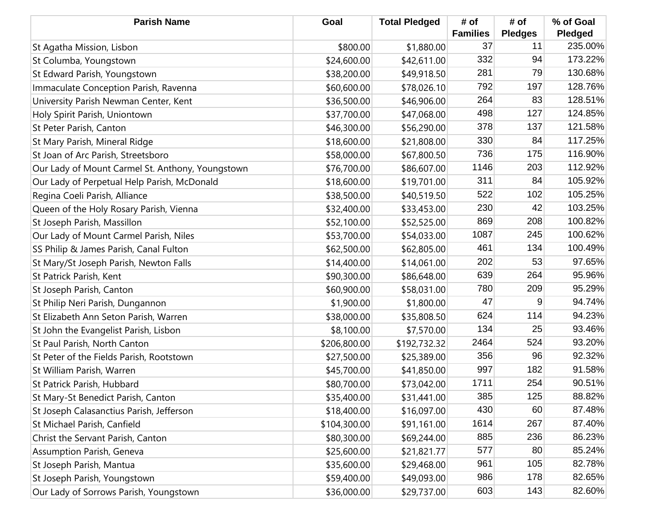| <b>Parish Name</b>                               | Goal         | <b>Total Pledged</b> | # of<br><b>Families</b> | # of<br><b>Pledges</b> | % of Goal<br>Pledged |
|--------------------------------------------------|--------------|----------------------|-------------------------|------------------------|----------------------|
| St Agatha Mission, Lisbon                        | \$800.00     | \$1,880.00           | 37                      | 11                     | 235.00%              |
| St Columba, Youngstown                           | \$24,600.00  | \$42,611.00          | 332                     | 94                     | 173.22%              |
| St Edward Parish, Youngstown                     | \$38,200.00  | \$49,918.50          | 281                     | 79                     | 130.68%              |
| Immaculate Conception Parish, Ravenna            | \$60,600.00  | \$78,026.10          | 792                     | 197                    | 128.76%              |
| University Parish Newman Center, Kent            | \$36,500.00  | \$46,906.00          | 264                     | 83                     | 128.51%              |
| Holy Spirit Parish, Uniontown                    | \$37,700.00  | \$47,068.00          | 498                     | 127                    | 124.85%              |
| St Peter Parish, Canton                          | \$46,300.00  | \$56,290.00          | 378                     | 137                    | 121.58%              |
| St Mary Parish, Mineral Ridge                    | \$18,600.00  | \$21,808.00          | 330                     | 84                     | 117.25%              |
| St Joan of Arc Parish, Streetsboro               | \$58,000.00  | \$67,800.50          | 736                     | 175                    | 116.90%              |
| Our Lady of Mount Carmel St. Anthony, Youngstown | \$76,700.00  | \$86,607.00          | 1146                    | 203                    | 112.92%              |
| Our Lady of Perpetual Help Parish, McDonald      | \$18,600.00  | \$19,701.00          | 311                     | 84                     | 105.92%              |
| Regina Coeli Parish, Alliance                    | \$38,500.00  | \$40,519.50          | 522                     | 102                    | 105.25%              |
| Queen of the Holy Rosary Parish, Vienna          | \$32,400.00  | \$33,453.00          | 230                     | 42                     | 103.25%              |
| St Joseph Parish, Massillon                      | \$52,100.00  | \$52,525.00          | 869                     | 208                    | 100.82%              |
| Our Lady of Mount Carmel Parish, Niles           | \$53,700.00  | \$54,033.00          | 1087                    | 245                    | 100.62%              |
| SS Philip & James Parish, Canal Fulton           | \$62,500.00  | \$62,805.00          | 461                     | 134                    | 100.49%              |
| St Mary/St Joseph Parish, Newton Falls           | \$14,400.00  | \$14,061.00          | 202                     | 53                     | 97.65%               |
| St Patrick Parish, Kent                          | \$90,300.00  | \$86,648.00          | 639                     | 264                    | 95.96%               |
| St Joseph Parish, Canton                         | \$60,900.00  | \$58,031.00          | 780                     | 209                    | 95.29%               |
| St Philip Neri Parish, Dungannon                 | \$1,900.00   | \$1,800.00           | 47                      | 9                      | 94.74%               |
| St Elizabeth Ann Seton Parish, Warren            | \$38,000.00  | \$35,808.50          | 624                     | 114                    | 94.23%               |
| St John the Evangelist Parish, Lisbon            | \$8,100.00   | \$7,570.00           | 134                     | 25                     | 93.46%               |
| St Paul Parish, North Canton                     | \$206,800.00 | \$192,732.32         | 2464                    | 524                    | 93.20%               |
| St Peter of the Fields Parish, Rootstown         | \$27,500.00  | \$25,389.00          | 356                     | 96                     | 92.32%               |
| St William Parish, Warren                        | \$45,700.00  | \$41,850.00          | 997                     | 182                    | 91.58%               |
| St Patrick Parish, Hubbard                       | \$80,700.00  | \$73,042.00          | 1711                    | 254                    | 90.51%               |
| St Mary-St Benedict Parish, Canton               | \$35,400.00  | \$31,441.00          | 385                     | 125                    | 88.82%               |
| St Joseph Calasanctius Parish, Jefferson         | \$18,400.00  | \$16,097.00          | 430                     | 60                     | 87.48%               |
| St Michael Parish, Canfield                      | \$104,300.00 | \$91,161.00          | 1614                    | 267                    | 87.40%               |
| Christ the Servant Parish, Canton                | \$80,300.00  | \$69,244.00          | 885                     | 236                    | 86.23%               |
| Assumption Parish, Geneva                        | \$25,600.00  | \$21,821.77          | 577                     | 80                     | 85.24%               |
| St Joseph Parish, Mantua                         | \$35,600.00  | \$29,468.00          | 961                     | 105                    | 82.78%               |
| St Joseph Parish, Youngstown                     | \$59,400.00  | \$49,093.00          | 986                     | 178                    | 82.65%               |
| Our Lady of Sorrows Parish, Youngstown           | \$36,000.00  | \$29,737.00          | 603                     | 143                    | 82.60%               |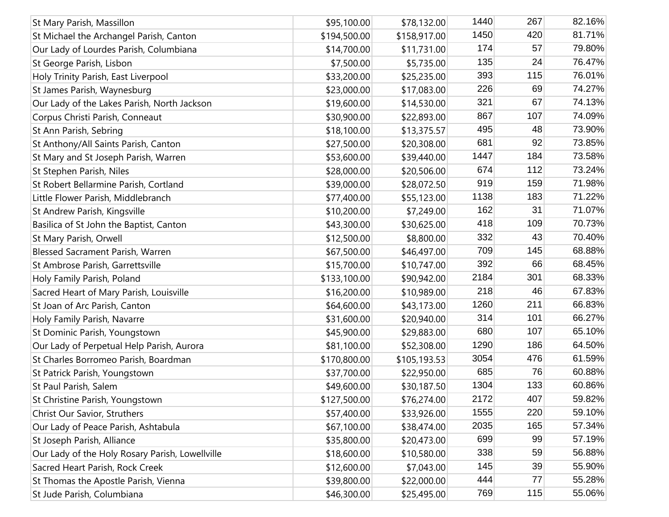| St Mary Parish, Massillon                       | \$95,100.00  | \$78,132.00  | 1440 | 267 | 82.16% |
|-------------------------------------------------|--------------|--------------|------|-----|--------|
| St Michael the Archangel Parish, Canton         | \$194,500.00 | \$158,917.00 | 1450 | 420 | 81.71% |
| Our Lady of Lourdes Parish, Columbiana          | \$14,700.00  | \$11,731.00  | 174  | 57  | 79.80% |
| St George Parish, Lisbon                        | \$7,500.00   | \$5,735.00   | 135  | 24  | 76.47% |
| Holy Trinity Parish, East Liverpool             | \$33,200.00  | \$25,235.00  | 393  | 115 | 76.01% |
| St James Parish, Waynesburg                     | \$23,000.00  | \$17,083.00  | 226  | 69  | 74.27% |
| Our Lady of the Lakes Parish, North Jackson     | \$19,600.00  | \$14,530.00  | 321  | 67  | 74.13% |
| Corpus Christi Parish, Conneaut                 | \$30,900.00  | \$22,893.00  | 867  | 107 | 74.09% |
| St Ann Parish, Sebring                          | \$18,100.00  | \$13,375.57  | 495  | 48  | 73.90% |
| St Anthony/All Saints Parish, Canton            | \$27,500.00  | \$20,308.00  | 681  | 92  | 73.85% |
| St Mary and St Joseph Parish, Warren            | \$53,600.00  | \$39,440.00  | 1447 | 184 | 73.58% |
| St Stephen Parish, Niles                        | \$28,000.00  | \$20,506.00  | 674  | 112 | 73.24% |
| St Robert Bellarmine Parish, Cortland           | \$39,000.00  | \$28,072.50  | 919  | 159 | 71.98% |
| Little Flower Parish, Middlebranch              | \$77,400.00  | \$55,123.00  | 1138 | 183 | 71.22% |
| St Andrew Parish, Kingsville                    | \$10,200.00  | \$7,249.00   | 162  | 31  | 71.07% |
| Basilica of St John the Baptist, Canton         | \$43,300.00  | \$30,625.00  | 418  | 109 | 70.73% |
| St Mary Parish, Orwell                          | \$12,500.00  | \$8,800.00   | 332  | 43  | 70.40% |
| Blessed Sacrament Parish, Warren                | \$67,500.00  | \$46,497.00  | 709  | 145 | 68.88% |
| St Ambrose Parish, Garrettsville                | \$15,700.00  | \$10,747.00  | 392  | 66  | 68.45% |
| Holy Family Parish, Poland                      | \$133,100.00 | \$90,942.00  | 2184 | 301 | 68.33% |
| Sacred Heart of Mary Parish, Louisville         | \$16,200.00  | \$10,989.00  | 218  | 46  | 67.83% |
| St Joan of Arc Parish, Canton                   | \$64,600.00  | \$43,173.00  | 1260 | 211 | 66.83% |
| Holy Family Parish, Navarre                     | \$31,600.00  | \$20,940.00  | 314  | 101 | 66.27% |
| St Dominic Parish, Youngstown                   | \$45,900.00  | \$29,883.00  | 680  | 107 | 65.10% |
| Our Lady of Perpetual Help Parish, Aurora       | \$81,100.00  | \$52,308.00  | 1290 | 186 | 64.50% |
| St Charles Borromeo Parish, Boardman            | \$170,800.00 | \$105,193.53 | 3054 | 476 | 61.59% |
| St Patrick Parish, Youngstown                   | \$37,700.00  | \$22,950.00  | 685  | 76  | 60.88% |
| St Paul Parish, Salem                           | \$49,600.00  | \$30,187.50  | 1304 | 133 | 60.86% |
| St Christine Parish, Youngstown                 | \$127,500.00 | \$76,274.00  | 2172 | 407 | 59.82% |
| Christ Our Savior, Struthers                    | \$57,400.00  | \$33,926.00  | 1555 | 220 | 59.10% |
| Our Lady of Peace Parish, Ashtabula             | \$67,100.00  | \$38,474.00  | 2035 | 165 | 57.34% |
| St Joseph Parish, Alliance                      | \$35,800.00  | \$20,473.00  | 699  | 99  | 57.19% |
| Our Lady of the Holy Rosary Parish, Lowellville | \$18,600.00  | \$10,580.00  | 338  | 59  | 56.88% |
| Sacred Heart Parish, Rock Creek                 | \$12,600.00  | \$7,043.00   | 145  | 39  | 55.90% |
| St Thomas the Apostle Parish, Vienna            | \$39,800.00  | \$22,000.00  | 444  | 77  | 55.28% |
| St Jude Parish, Columbiana                      | \$46,300.00  | \$25,495.00  | 769  | 115 | 55.06% |